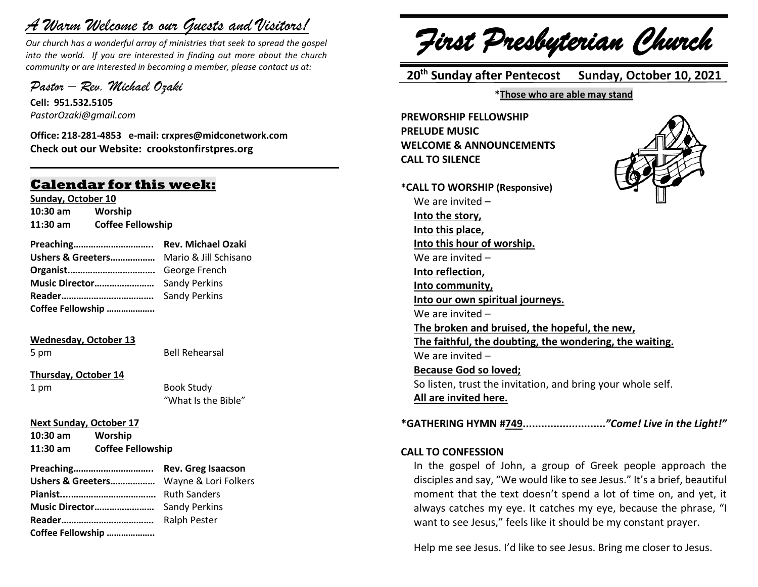# *A Warm Welcome to our Guests and Visitors!*

*Our church has a wonderful array of ministries that seek to spread the gospel into the world. If you are interested in finding out more about the church community or are interested in becoming a member, please contact us at:*

**\_\_\_\_\_\_\_\_\_\_\_\_\_\_\_\_\_\_\_\_\_\_\_\_\_\_\_\_\_\_\_\_\_\_\_\_\_\_\_\_\_\_\_\_\_\_\_\_\_\_\_\_\_\_**

*Pastor – Rev. Michael Ozaki* 

**Cell: 951.532.5105** *PastorOzaki@gmail.com*

**Office: 218-281-4853 e-mail: crxpres@midconetwork.com Check out our Website: crookstonfirstpres.org**

## **Calendar for this week:**

**Sunday, October 10 10:30 am Worship 11:30 am Coffee Fellowship**

| Ushers & Greeters Mario & Jill Schisano |  |
|-----------------------------------------|--|
|                                         |  |
|                                         |  |
|                                         |  |
| Coffee Fellowship                       |  |

**Wednesday, October 13**

5 pm Bell Rehearsal

**Thursday, October 14**

1 pm Book Study "What Is the Bible"

**Next Sunday, October 17 10:30 am Worship**

**11:30 am Coffee Fellowship**

- 
- **Preaching………………………….. Rev. Greg Isaacson Ushers & Greeters………………** Wayne & Lori Folkers **Pianist....…………………………….** Ruth Sanders **Music Director……………………** Sandy Perkins **Reader……………………………….** Ralph Pester **Coffee Fellowship ………………..**

*First Presbyterian Church*

 **20th Sunday after Pentecost Sunday, October 10, 2021**

**\*Those who are able may stand**

**PREWORSHIP FELLOWSHIP PRELUDE MUSIC WELCOME & ANNOUNCEMENTS CALL TO SILENCE**



**\*GATHERING HYMN #749...........................***"Come! Live in the Light!"*

#### **CALL TO CONFESSION**

In the gospel of John, a group of Greek people approach the disciples and say, "We would like to see Jesus." It's a brief, beautiful moment that the text doesn't spend a lot of time on, and yet, it always catches my eye. It catches my eye, because the phrase, "I want to see Jesus," feels like it should be my constant prayer.

Help me see Jesus. I'd like to see Jesus. Bring me closer to Jesus.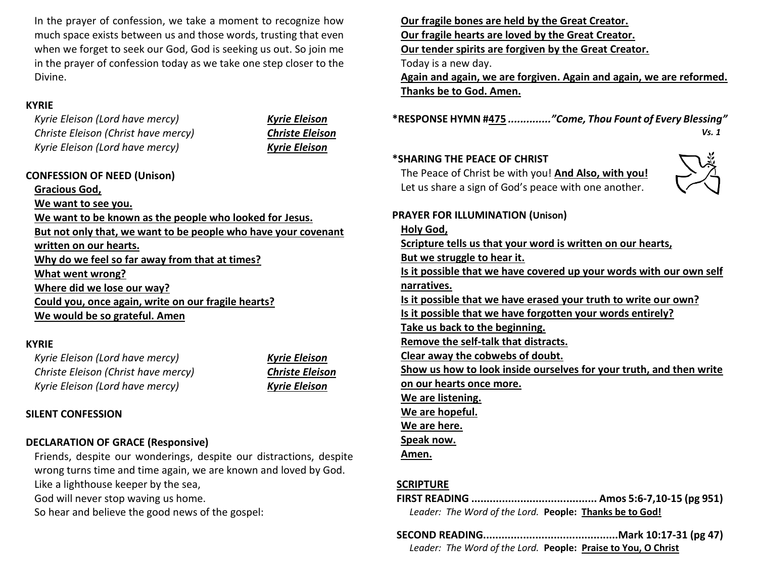In the prayer of confession, we take a moment to recognize how much space exists between us and those words, trusting that even when we forget to seek our God, God is seeking us out. So join me in the prayer of confession today as we take one step closer to the Divine.

### **KYRIE**

*Kyrie Eleison (Lord have mercy) Kyrie Eleison Christe Eleison (Christ have mercy) Christe Eleison Kyrie Eleison (Lord have mercy) Kyrie Eleison*

#### **CONFESSION OF NEED (Unison)**

**Gracious God, We want to see you. We want to be known as the people who looked for Jesus. But not only that, we want to be people who have your covenant written on our hearts. Why do we feel so far away from that at times? What went wrong? Where did we lose our way? Could you, once again, write on our fragile hearts? We would be so grateful. Amen**

#### **KYRIE**

*Kyrie Eleison (Lord have mercy) Kyrie Eleison Christe Eleison (Christ have mercy) Christe Eleison Kyrie Eleison (Lord have mercy) Kyrie Eleison*

## **SILENT CONFESSION**

## **DECLARATION OF GRACE (Responsive)**

Friends, despite our wonderings, despite our distractions, despite wrong turns time and time again, we are known and loved by God. Like a lighthouse keeper by the sea,

God will never stop waving us home.

So hear and believe the good news of the gospel:

**Our fragile bones are held by the Great Creator. Our fragile hearts are loved by the Great Creator. Our tender spirits are forgiven by the Great Creator.** Today is a new day. **Again and again, we are forgiven. Again and again, we are reformed.**

**Thanks be to God. Amen.**

**\*RESPONSE HYMN #475** *.............."Come, Thou Fount of Every Blessing" Vs. 1* 

#### **\*SHARING THE PEACE OF CHRIST**

The Peace of Christ be with you! **And Also, with you!** Let us share a sign of God's peace with one another.



### **PRAYER FOR ILLUMINATION (Unison)**

#### **Holy God,**

**Scripture tells us that your word is written on our hearts, But we struggle to hear it. Is it possible that we have covered up your words with our own self narratives. Is it possible that we have erased your truth to write our own? Is it possible that we have forgotten your words entirely? Take us back to the beginning. Remove the self-talk that distracts. Clear away the cobwebs of doubt. Show us how to look inside ourselves for your truth, and then write on our hearts once more. We are listening. We are hopeful. We are here. Speak now.** 

**Amen.**

## **SCRIPTURE**

- **FIRST READING ......................................... Amos 5:6-7,10-15 (pg 951)** *Leader: The Word of the Lord.* **People: Thanks be to God!**
- **SECOND READING............................................Mark 10:17-31 (pg 47)** *Leader: The Word of the Lord.* **People: Praise to You, O Christ**